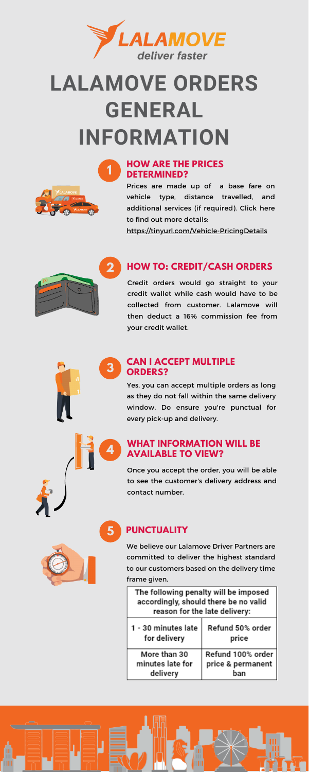



**5**



# **LALAMOVE ORDERS GENERAL INFORMATION**

Prices are made up of a base fare on vehicle type, distance travelled, and additional services (if required). Click here to find out more details:

<https://tinyurl.com/Vehicle-PricingDetails>

Credit orders would go straight to your credit wallet while cash would have to be collected from customer. Lalamove will then deduct a 16% commission fee from your credit wallet.



#### **3 CAN I ACCEPT MULTIPLE ORDERS?**



Yes, you can accept multiple orders as long as they do not fall within the same delivery window. Do ensure you're punctual for every pick-up and delivery.

We believe our Lalamove Driver Partners are committed to deliver the highest standard to our customers based on the delivery time frame given.

| The following penalty will be imposed<br>accordingly, should there be no valid<br>reason for the late delivery: |                           |
|-----------------------------------------------------------------------------------------------------------------|---------------------------|
| 1 - 30 minutes late<br>for delivery                                                                             | Refund 50% order<br>price |
| More than 30                                                                                                    | Refund 100% order         |
| minutes late for                                                                                                | price & permanent         |
| delivery                                                                                                        | han                       |





Once you accept the order, you will be able to see the customer's delivery address and contact number.

### **HOW ARE THE PRICES DETERMINED?**

## **HOW TO: CREDIT/CASH ORDERS**

## **PUNCTUALITY**